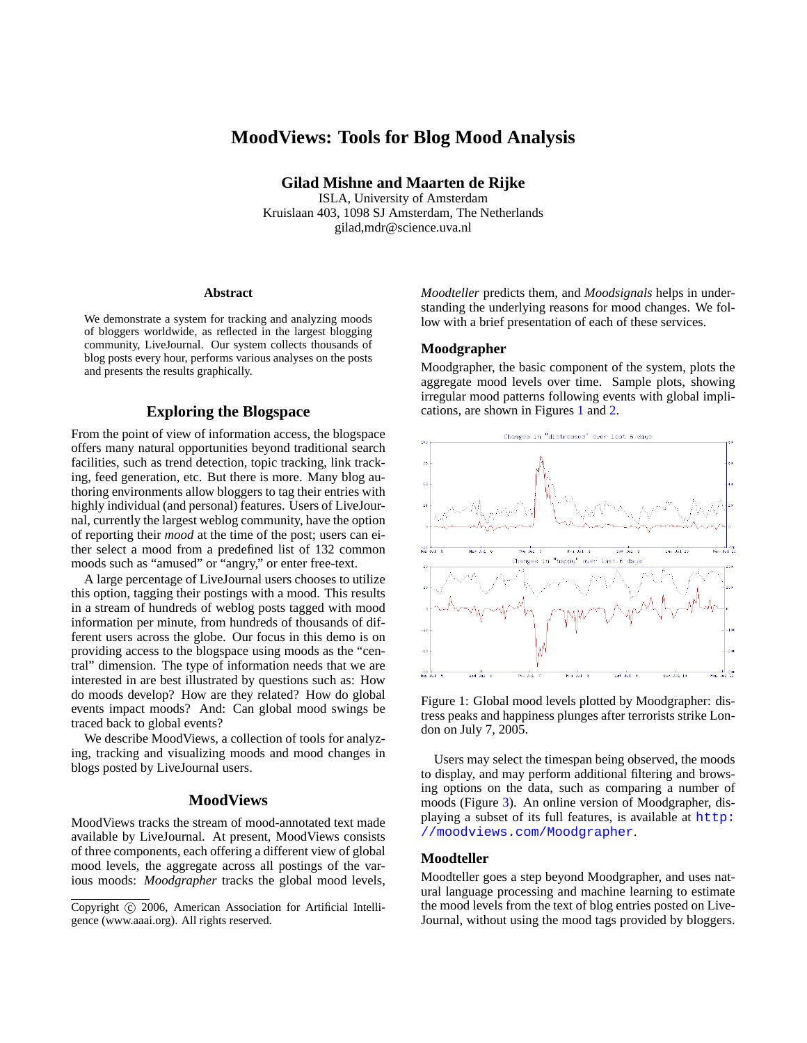# **MoodViews: Tools for Blog Mood Analysis**

**Gilad Mishne and Maarten de Rijke**

ISLA, University of Amsterdam Kruislaan 403, 1098 SJ Amsterdam, The Netherlands gilad,mdr@science.uva.nl

#### **Abstract**

We demonstrate a system for tracking and analyzing moods of bloggers worldwide, as reflected in the largest blogging community, LiveJournal. Our system collects thousands of blog posts every hour, performs various analyses on the posts and presents the results graphically.

# **Exploring the Blogspace**

From the point of view of information access, the blogspace offers many natural opportunities beyond traditional search facilities, such as trend detection, topic tracking, link tracking, feed generation, etc. But there is more. Many blog authoring environments allow bloggers to tag their entries with highly individual (and personal) features. Users of LiveJournal, currently the largest weblog community, have the option of reporting their *mood* at the time of the post; users can either select a mood from a predefined list of 132 common moods such as "amused" or "angry," or enter free-text.

A large percentage of LiveJournal users chooses to utilize this option, tagging their postings with a mood. This results in a stream of hundreds of weblog posts tagged with mood information per minute, from hundreds of thousands of different users across the globe. Our focus in this demo is on providing access to the blogspace using moods as the "central" dimension. The type of information needs that we are interested in are best illustrated by questions such as: How do moods develop? How are they related? How do global events impact moods? And: Can global mood swings be traced back to global events?

We describe MoodViews, a collection of tools for analyzing, tracking and visualizing moods and mood changes in blogs posted by LiveJournal users.

#### **MoodViews**

MoodViews tracks the stream of mood-annotated text made available by LiveJournal. At present, MoodViews consists of three components, each offering a different view of global mood levels, the aggregate across all postings of the various moods: *Moodgrapher* tracks the global mood levels, *Moodteller* predicts them, and *Moodsignals* helps in understanding the underlying reasons for mood changes. We follow with a brief presentation of each of these services.

# **Moodgrapher**

Moodgrapher, the basic component of the system, plots the aggregate mood levels over time. Sample plots, showing irregular mood patterns following events with global implications, are shown in Figures [1](#page-0-0) and [2.](#page-1-0)



<span id="page-0-0"></span>Figure 1: Global mood levels plotted by Moodgrapher: distress peaks and happiness plunges after terrorists strike London on July 7, 2005.

Users may select the timespan being observed, the moods to display, and may perform additional filtering and browsing options on the data, such as comparing a number of moods (Figure [3\)](#page-1-1). An online version of Moodgrapher, displaying a subset of its full features, is available at [http:](http://moodviews.com/Moodgrapher) [//moodviews.com/Moodgrapher](http://moodviews.com/Moodgrapher).

# **Moodteller**

Moodteller goes a step beyond Moodgrapher, and uses natural language processing and machine learning to estimate the mood levels from the text of blog entries posted on Live-Journal, without using the mood tags provided by bloggers.

Copyright (c) 2006, American Association for Artificial Intelligence (www.aaai.org). All rights reserved.